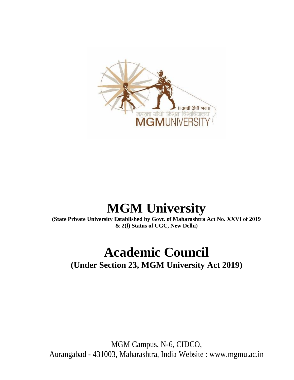

# **MGM University**

**(State Private University Established by Govt. of Maharashtra Act No. XXVI of 2019 & 2(f) Status of UGC, New Delhi)**

# **Academic Council**

**(Under Section 23, MGM University Act 2019)**

MGM Campus, N-6, CIDCO, Aurangabad - 431003, Maharashtra, India Website : www.mgmu.ac.in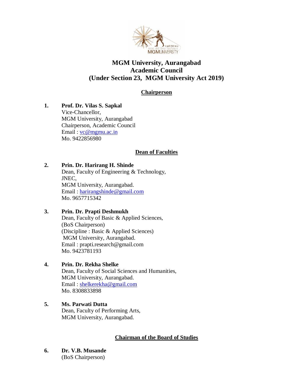

# **MGM University, Aurangabad Academic Council (Under Section 23, MGM University Act 2019)**

## **Chairperson**

**1. Prof. Dr. Vilas S. Sapkal** Vice-Chancellor, MGM University, Aurangabad Chairperson, Academic Council Email : <u>vc@mgmu.ac.in</u> Mo. 9422856980

## **Dean of Faculties**

#### **2. Prin. Dr. Harirang H. Shinde**

Dean, Faculty of Engineering & Technology, JNEC, MGM University, Aurangabad. Email : [harirangshinde@gmail.com](mailto:harirangshinde@gmail.com) Mo. 9657715342

#### **3. Prin. Dr. Prapti Deshmukh**

Dean, Faculty of Basic & Applied Sciences, (BoS Chairperson) (Discipline : Basic & Applied Sciences) MGM University, Aurangabad. Email : prapti.research@gmail.com Mo. 9423781193

## **4. Prin. Dr. Rekha Shelke**

Dean, Faculty of Social Sciences and Humanities, MGM University, Aurangabad. Email : [shelkerekha@gmail.com](mailto:shelkerekha@gmail.com) Mo. 8308833898

## **5. Ms. Parwati Dutta**

Dean, Faculty of Performing Arts, MGM University, Aurangabad.

#### **Chairman of the Board of Studies**

**6. Dr. V.B. Musande**  (BoS Chairperson)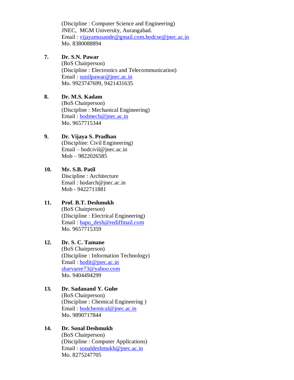(Discipline : Computer Science and Engineering) JNEC, MGM University, Aurangabad. Email : [vijayamusande@gmail.com](mailto:vijayamusande@gmail.com)[,hodcse@jnec.ac.in](mailto:hodcse@jnec.ac.in) Mo. 8380088894

#### **7. Dr. S.N. Pawar**

(BoS Chairperson) (Discipline : Electronics and Telecommunication) Email: [sunilpawar@jnec.ac.in](mailto:sunilpawar@jnec.ac.in) Mo. 9923747699, 9421431635

## **8. Dr. M.S. Kadam**

(BoS Chairperson) (Discipline : Mechanical Engineering) Email : [hodmech@jnec.ac.in](mailto:hodmech@jnec.ac.in) Mo. 9657715344

## **9. Dr. Vijaya S. Pradhan**

(Discipline: Civil Engineering) Email – hodcivil@jnec.ac.in Mob – 9822026585

## **10. Mr. S.B. Patil**

Discipline : Architecture Email : hodarch@jnec.ac.in Mob - 9422711881

## **11. Prof. B.T. Deshmukh**

(BoS Chairperson) (Discipline : Electrical Engineering) Email : [bapu\\_desh@rediffmail.com](mailto:bapu_desh@rediffmail.com) Mo. 9657715359

## **12. Dr. S. C. Tamane**

(BoS Chairperson) (Discipline : Information Technology) Email: [hodit@jnec.ac.in](mailto:hodit@jnec.ac.in) [sharvaree73@yahoo.com](mailto:sharvaree73@yahoo.com) Mo. 9404494299

#### **13. Dr. Sadanand Y. Guhe** (BoS Chairperson)

(Discipline : Chemical Engineering ) Email : [hodchemical@jnec.ac.in](mailto:hodchemical@jnec.ac.in) Mo. 9890717844

## **14. Dr. Sonal Deshmukh**

(BoS Chairperson) (Discipline : Computer Applications) Email : [sonaldeshmukh@jnec.ac.in](mailto:sonaldeshmukh@jnec.ac.in) Mo. 8275247705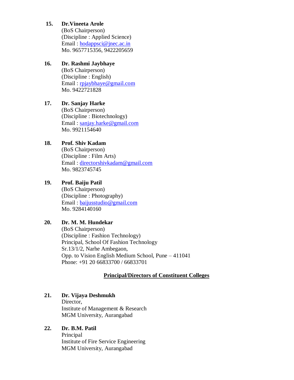## **15. Dr.Vineeta Arole**

(BoS Chairperson) (Discipline : Applied Science) Email : [hodappsci@jnec.ac.in](mailto:hodappsci@jnec.ac.in) Mo. 9657715356, 9422205659

# **16. Dr. Rashmi Jaybhaye**

(BoS Chairperson) (Discipline : English) Email : [rpjaybhaye@gmail.com](mailto:rpjaybhaye@gmail.com) Mo. 9422721828

# **17. Dr. Sanjay Harke** (BoS Chairperson) (Discipline : Biotechnology)

Email : [sanjay.harke@gmail.com](mailto:sanjay.harke@gmail.com) Mo. 9921154640

# **18. Prof. Shiv Kadam**

(BoS Chairperson) (Discipline : Film Arts) Email : [directorshivkadam@gmail.com](mailto:directorshivkadam@gmail.com) Mo. 9823745745

# **19. Prof. Baiju Patil**

(BoS Chairperson) (Discipline : Photography) Email : [baijusstudio@gmail.com](mailto:baijusstudio@gmail.com) Mo. 9284140160

# **20. Dr. M. M. Hundekar**

(BoS Chairperson) (Discipline : Fashion Technology) Principal, School Of Fashion Technology Sr.13/1/2, Narhe Ambegaon, Opp. to Vision English Medium School, Pune – 411041 Phone: +91 20 66833700 / 66833701

# **Principal/Directors of Constituent Colleges**

# **21. Dr. Vijaya Deshmukh**

Director, Institute of Management & Research MGM University, Aurangabad

# **22. Dr. B.M. Patil**

Principal Institute of Fire Service Engineering MGM University, Aurangabad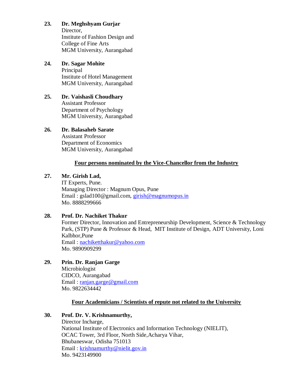# **23. Dr. Meghshyam Gurjar**

Director, Institute of Fashion Design and College of Fine Arts MGM University, Aurangabad

#### **24. Dr. Sagar Mohite** Principal Institute of Hotel Management MGM University, Aurangabad

#### **25. Dr. Vaishasli Choudhary** Assistant Professor Department of Psychology MGM University, Aurangabad

# **26. Dr. Balasaheb Sarate**

Assistant Professor Department of Economics MGM University, Aurangabad

## **Four persons nominated by the Vice-Chancellor from the Industry**

## **27. Mr. Girish Lad,**

IT Experts, Pune. Managing Director : Magnum Opus, Pune Email : gslad100@gmail.com, [girish@magnumopus.in](mailto:girish@magnumopus.in) Mo. 8888299666

## **28. Prof. Dr. Nachiket Thakur**

Former Director, Innovation and Entrepreneurship Development, Science & Technology Park, (STP) Pune & Professor & Head, MIT Institute of Design, ADT University, Loni Kalbhor,Pune Email : [nachiketthakur@yahoo.com](mailto:nachiketthakur@yahoo.com)

Mo. 9890909299

**29. Prin. Dr. Ranjan Garge**

Microbiologist CIDCO, Aurangabad Email : [ranjan.garge@gmail.com](mailto:ranjan.garge@gmail.com) Mo. 9822634442

## **Four Academicians / Scientists of repute not related to the University**

# **30. Prof. Dr. V. Krishnamurthy,**

Director Incharge, National Institute of Electronics and Information Technology (NIELIT), OCAC Tower, 3rd Floor, North Side,Acharya Vihar, Bhubaneswar, Odisha 751013 Email : [krishnamurthy@nielit.gov.in](mailto:krishnamurthy@nielit.gov.in) Mo. 9423149900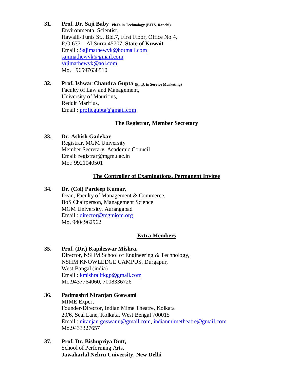**31. Prof. Dr. Saji Baby Ph.D. in Technology (BITS, Ranchi),** Environmental Scientist, Hawalli-Tunis St., Bld.7, First Floor, Office No.4, P.O.677 – Al-Surra 45707, **State of Kuwait** Email : [Sajimathewvk@hotmail.com](mailto:Sajimathewvk@hotmail.com) [sajimathewvk@gmail.com](mailto:sajimathewvk@gmail.com) [sajimathewvk@aol.com](mailto:sajimathewvk@aol.com) Mo. +96597638510

#### **32. Prof. Ishwar Chandra Gupta (Ph.D. in Service Marketing)** Faculty of Law and Management, University of Mauritius, Reduit Maritius, Email : [proficgupta@gmail.com](mailto:proficgupta@gmail.com)

#### **The Registrar, Member Secretary**

#### **33. Dr. Ashish Gadekar**

Registrar, MGM University Member Secretary, Academic Council Email: registrar@mgmu.ac.in Mo.: 9921040501

#### **The Controller of Examinations, Permanent Invitee**

#### **34. Dr. (Col) Pardeep Kumar,**

Dean, Faculty of Management & Commerce, BoS Chairperson, Management Science MGM University, Aurangabad Email : [director@mgmiom.org](mailto:director@mgmiom.org) Mo. 9404962962

## **Extra Members**

## **35. Prof. (Dr.) Kapileswar Mishra,**

Director, NSHM School of Engineering & Technology, NSHM KNOWLEDGE CAMPUS, Durgapur, West Bangal (india) Email : [kmishraiitkgp@gmail.com](mailto:kmishraiitkgp@gmail.com) Mo.9437764060, 7008336726

- **36. Padmashri Niranjan Goswami**  MIME Expert Founder-Director, Indian Mime Theatre, Kolkata 20/6, Seal Lane, Kolkata, West Bengal 700015 Email : [niranjan.goswami@gmail.com,](mailto:niranjan.goswami@gmail.com) [indianmimetheatre@gmail.com](mailto:indianmimetheatre@gmail.com) Mo.9433327657
- **37. Prof. Dr. Bishupriya Dutt,** School of Performing Arts, **Jawaharlal Nehru University, New Delhi**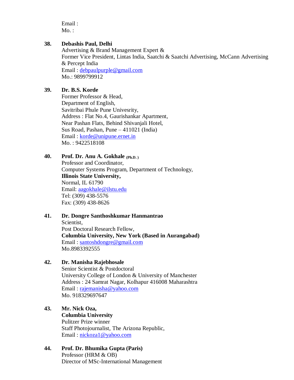Email :  $Mo.$ :

#### **38. Debashis Paul, Delhi**

Advertising & Brand Management Expert & Former Vice President, Lintas India, Saatchi & Saatchi Advertising, McCann Advertising & Percept India Email : [debpaulpurple@gmail.com](mailto:debpaulpurple@gmail.com) Mo.: 9899799912

#### **39. Dr. B.S. Korde**

Former Professor & Head, Department of English, Savitribai Phule Pune Univesrity, Address : Flat No.4, Gaurishankar Apartment, Near Pashan Flats, Behind Shivanjali Hotel, Sus Road, Pashan, Pune – 411021 (India) Email : [korde@unipune.ernet.in](mailto:korde@unipune.ernet.in) Mo. : 9422518108

#### **40. Prof. Dr. Anu A. Gokhale (Ph.D. )**

Professor and Coordinator, Computer Systems Program, Department of Technology, **Illinois State University,** Normal, IL 61790 Email: [aagokhale@ilstu.edu](mailto:aagokhale@ilstu.edu) Tel: (309) 438-5576 Fax: (309) 438-8626

## **41. Dr. Dongre Santhoshkumar Hanmantrao**

Scientist, Post Doctoral Research Fellow, **Columbia University, New York (Based in Aurangabad)** Email : [santoshdongre@gmail.com](mailto:santoshdongre@gmail.com) Mo.8983392555

#### **42. Dr. Manisha Rajebhosale**

Senior Scientist & Postdoctoral University College of London & University of Manchester Address : 24 Samrat Nagar, Kolhapur 416008 Maharashtra Email : [rajemanisha@yahoo.com](mailto:rajemanisha@yahoo.com) Mo. 918329697647

# **43. Mr. Nick Oza,**

**Columbia University** Pulitzer Prize winner Staff Photojournalist, The Arizona Republic, Email : [nickoza1@yahoo.com](mailto:nickoza1@yahoo.com)

#### **44. Prof. Dr. Bhumika Gupta (Paris)** Professor (HRM & OB) Director of MSc-International Management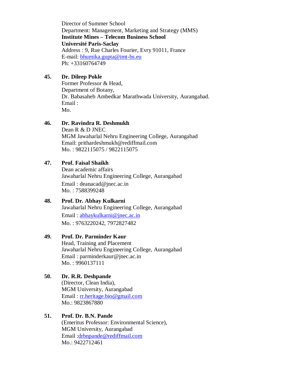Director of Summer School Department: Management, Marketing and Strategy (MMS) **Institute Mines – Telecom Business School Université Paris-Saclay** Address : 9, Rue Charles Fourier, Evry 91011, France E-mail: [bhumika.gupta@imt-bs.eu](mailto:bhumika.gupta@imt-bs.eu) Ph: +33160764749

#### **45. Dr. Dileep Pokle**

Former Professor & Head, Department of Botany, Dr. Babasaheb Ambedkar Marathwada University, Aurangabad. Email : Mo.

#### **46. Dr. Ravindra R. Deshmukh**

Dean R & D JNEC MGM Jawaharlal Nehru Engineering College, Aurangabad Email: prithardeshmukh@rediffmail.com Mo. : 9822115075 / 9822115075

#### **47. Prof. Faisal Shaikh**

Dean academic affairs Jawaharlal Nehru Engineering College, Aurangabad Email : deanacad@jnec.ac.in Mo. : 7588399248

# **48. Prof. Dr. Abhay Kulkarni**

Jawaharlal Nehru Engineering College, Aurangabad Email : [abhaykulkarni@jnec.ac.in](mailto:abhaykulkarni@jnec.ac.in) Mo. : 9763220242, 7972827482

#### **49. Prof. Dr. Parminder Kaur**

Head, Training and Placement Jawaharlal Nehru Engineering College, Aurangabad Email : parminderkaur@jnec.ac.in Mo. : 9960137111

#### **50. Dr. R.R. Deshpande**

(Director, Clean India), MGM University, Aurangabad Email : [rr.heritage.bio@gmail.com](mailto:rr.heritage.bio@gmail.com) Mo.: 9823867880

#### **51. Prof. Dr. B.N. Pande**

(Emeritus Professor: Environmental Science), MGM University, Aurangabad Email [:drbnpande@rediffmail.com](mailto:drbnpande@rediffmail.com) Mo.: 9422712461